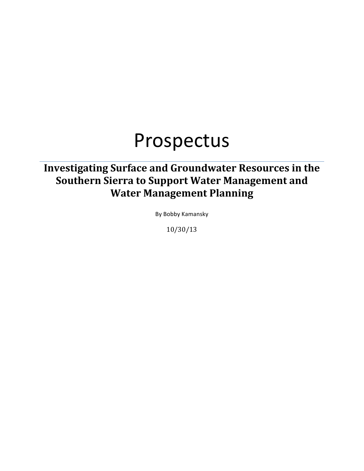# Prospectus

# **Investigating Surface and Groundwater Resources in the Southern Sierra to Support Water Management and Water Management Planning**

By Bobby Kamansky

10/30/13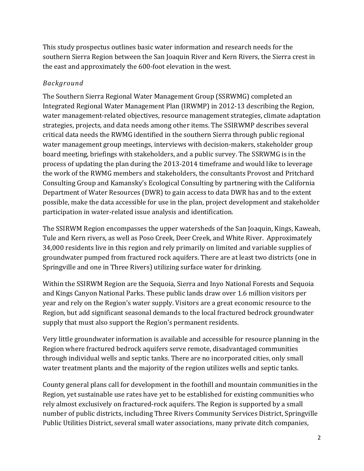This study prospectus outlines basic water information and research needs for the southern Sierra Region between the San Joaquin River and Kern Rivers, the Sierra crest in the east and approximately the 600-foot elevation in the west.

## *Background*

The Southern Sierra Regional Water Management Group (SSRWMG) completed an Integrated Regional Water Management Plan (IRWMP) in 2012-13 describing the Region, water management-related objectives, resource management strategies, climate adaptation strategies, projects, and data needs among other items. The SSIRWMP describes several critical data needs the RWMG identified in the southern Sierra through public regional water management group meetings, interviews with decision-makers, stakeholder group board meeting, briefings with stakeholders, and a public survey. The SSRWMG is in the process of updating the plan during the 2013-2014 timeframe and would like to leverage the work of the RWMG members and stakeholders, the consultants Provost and Pritchard Consulting Group and Kamansky's Ecological Consulting by partnering with the California Department of Water Resources (DWR) to gain access to data DWR has and to the extent possible, make the data accessible for use in the plan, project development and stakeholder participation in water-related issue analysis and identification.

The SSIRWM Region encompasses the upper watersheds of the San Joaquin, Kings, Kaweah, Tule and Kern rivers, as well as Poso Creek, Deer Creek, and White River. Approximately 34,000 residents live in this region and rely primarily on limited and variable supplies of groundwater pumped from fractured rock aquifers. There are at least two districts (one in Springville and one in Three Rivers) utilizing surface water for drinking.

Within the SSIRWM Region are the Sequoia, Sierra and Inyo National Forests and Sequoia and Kings Canyon National Parks. These public lands draw over 1.6 million visitors per year and rely on the Region's water supply. Visitors are a great economic resource to the Region, but add significant seasonal demands to the local fractured bedrock groundwater supply that must also support the Region's permanent residents.

Very little groundwater information is available and accessible for resource planning in the Region where fractured bedrock aquifers serve remote, disadvantaged communities through individual wells and septic tanks. There are no incorporated cities, only small water treatment plants and the majority of the region utilizes wells and septic tanks.

County general plans call for development in the foothill and mountain communities in the Region, yet sustainable use rates have yet to be established for existing communities who rely almost exclusively on fractured-rock aquifers. The Region is supported by a small number of public districts, including Three Rivers Community Services District, Springville Public Utilities District, several small water associations, many private ditch companies,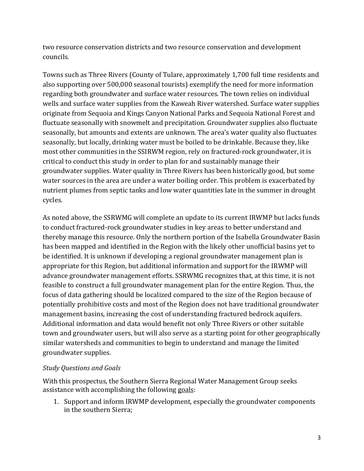two resource conservation districts and two resource conservation and development councils.

Towns such as Three Rivers (County of Tulare, approximately 1,700 full time residents and also supporting over 500,000 seasonal tourists) exemplify the need for more information regarding both groundwater and surface water resources. The town relies on individual wells and surface water supplies from the Kaweah River watershed. Surface water supplies originate from Sequoia and Kings Canyon National Parks and Sequoia National Forest and fluctuate seasonally with snowmelt and precipitation. Groundwater supplies also fluctuate seasonally, but amounts and extents are unknown. The area's water quality also fluctuates seasonally, but locally, drinking water must be boiled to be drinkable. Because they, like most other communities in the SSIRWM region, rely on fractured-rock groundwater, it is critical to conduct this study in order to plan for and sustainably manage their groundwater supplies. Water quality in Three Rivers has been historically good, but some water sources in the area are under a water boiling order. This problem is exacerbated by nutrient plumes from septic tanks and low water quantities late in the summer in drought cycles.

As noted above, the SSRWMG will complete an update to its current IRWMP but lacks funds to conduct fractured-rock groundwater studies in key areas to better understand and thereby manage this resource. Only the northern portion of the Isabella Groundwater Basin has been mapped and identified in the Region with the likely other unofficial basins yet to be identified. It is unknown if developing a regional groundwater management plan is appropriate for this Region, but additional information and support for the IRWMP will advance groundwater management efforts. SSRWMG recognizes that, at this time, it is not feasible to construct a full groundwater management plan for the entire Region. Thus, the focus of data gathering should be localized compared to the size of the Region because of potentially prohibitive costs and most of the Region does not have traditional groundwater management basins, increasing the cost of understanding fractured bedrock aquifers. Additional information and data would benefit not only Three Rivers or other suitable town and groundwater users, but will also serve as a starting point for other geographically similar watersheds and communities to begin to understand and manage the limited groundwater supplies.

### *Study Questions and Goals*

With this prospectus, the Southern Sierra Regional Water Management Group seeks assistance with accomplishing the following goals:

1. Support and inform IRWMP development, especially the groundwater components in the southern Sierra;